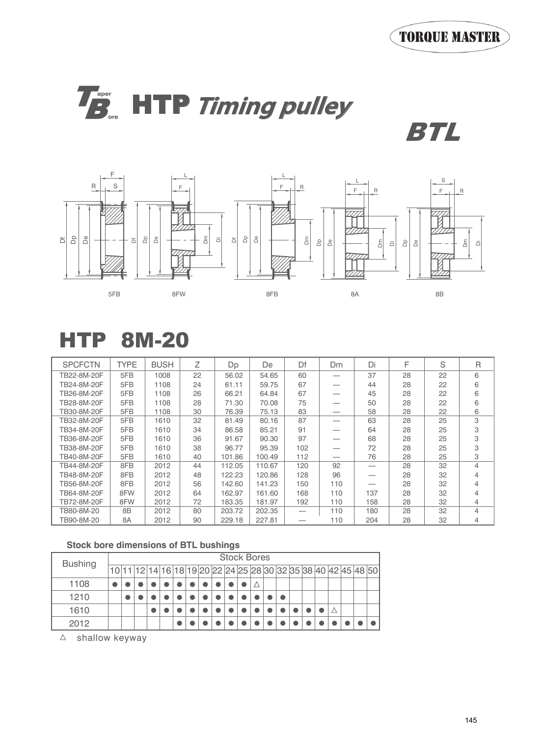



## HTP 8M-20

| <b>SPCFCTN</b> | <b>TYPE</b>    | <b>BUSH</b> | Ζ  | Dp     | De     | Df                       | <b>Dm</b> | Di  | F  | S  | R              |
|----------------|----------------|-------------|----|--------|--------|--------------------------|-----------|-----|----|----|----------------|
| TB22-8M-20F    | 5FB            | 1008        | 22 | 56.02  | 54.65  | 60                       |           | 37  | 28 | 22 | 6              |
| TB24-8M-20F    | 5FB            | 1108        | 24 | 61.11  | 59.75  | 67                       |           | 44  | 28 | 22 | 6              |
| TB26-8M-20F    | 5FB            | 1108        | 26 | 66.21  | 64.84  | 67                       |           | 45  | 28 | 22 | 6              |
| TB28-8M-20F    | 5FB            | 1108        | 28 | 71.30  | 70.08  | 75                       |           | 50  | 28 | 22 | 6              |
| TB30-8M-20F    | 5FB            | 1108        | 30 | 76.39  | 75.13  | 83                       |           | 58  | 28 | 22 | 6              |
| TB32-8M-20F    | 5FB            | 1610        | 32 | 81.49  | 80.16  | 87                       |           | 63  | 28 | 25 | 3              |
| TB34-8M-20F    | 5FB            | 1610        | 34 | 86.58  | 85.21  | 91                       |           | 64  | 28 | 25 | 3              |
| TB36-8M-20F    | 5FB            | 1610        | 36 | 91.67  | 90.30  | 97                       |           | 68  | 28 | 25 | 3              |
| TB38-8M-20F    | 5FB            | 1610        | 38 | 96.77  | 95.39  | 102                      |           | 72  | 28 | 25 | 3              |
| TB40-8M-20F    | 5FB            | 1610        | 40 | 101.86 | 100.49 | 112                      |           | 76  | 28 | 25 | 3              |
| TB44-8M-20F    | 8FB            | 2012        | 44 | 112.05 | 110.67 | 120                      | 92        |     | 28 | 32 | 4              |
| TB48-8M-20F    | 8FB            | 2012        | 48 | 122.23 | 120.86 | 128                      | 96        |     | 28 | 32 | 4              |
| TB56-8M-20F    | 8FB            | 2012        | 56 | 142.60 | 141.23 | 150                      | 110       |     | 28 | 32 | 4              |
| TB64-8M-20F    | 8FW            | 2012        | 64 | 162.97 | 161.60 | 168                      | 110       | 137 | 28 | 32 | 4              |
| TB72-8M-20F    | 8FW            | 2012        | 72 | 183.35 | 181.97 | 192                      | 110       | 158 | 28 | 32 | 4              |
| TB80-8M-20     | 8 <sub>B</sub> | 2012        | 80 | 203.72 | 202.35 | $\overline{\phantom{0}}$ | 110       | 180 | 28 | 32 | $\overline{4}$ |
| TB90-8M-20     | 8A             | 2012        | 90 | 229.18 | 227.81 | _                        | 110       | 204 | 28 | 32 | 4              |

#### **Stock bore dimensions of BTL bushings**

| <b>Bushing</b> |  |  |  |  |  | <b>Stock Bores</b> |  |  |  |  |                                                                                                        |  |
|----------------|--|--|--|--|--|--------------------|--|--|--|--|--------------------------------------------------------------------------------------------------------|--|
|                |  |  |  |  |  |                    |  |  |  |  | 10   11   12   14   16   18   19   20   22   24   25   28   30   32   35   38   40   42   45   48   50 |  |
| 1108           |  |  |  |  |  |                    |  |  |  |  |                                                                                                        |  |
| 1210           |  |  |  |  |  |                    |  |  |  |  |                                                                                                        |  |
| 1610           |  |  |  |  |  |                    |  |  |  |  |                                                                                                        |  |
| 2012           |  |  |  |  |  |                    |  |  |  |  |                                                                                                        |  |

 $\triangle$  shallow keyway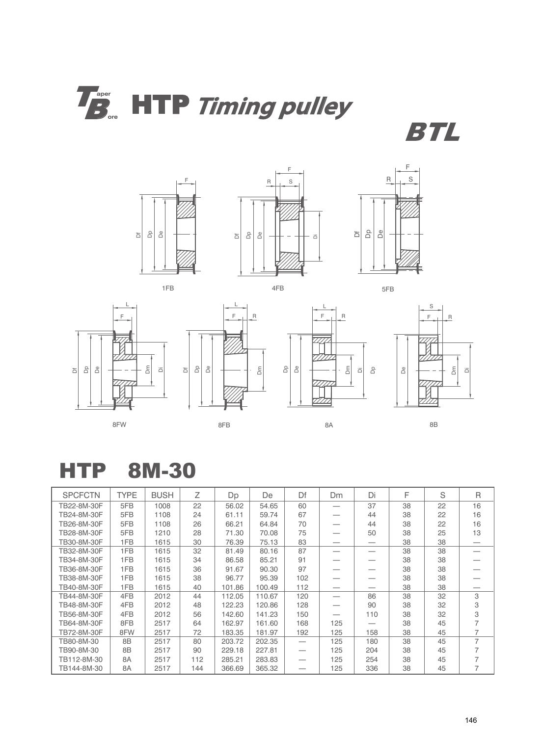





F



L F  $\overleftarrow{\Box}$  $\frac{\rho}{\Box}$ De  $\mathsf{E}\,$ Di

8FW







 $\overline{D}$ 

HTP 8M-30

| <b>SPCFCTN</b> | <b>TYPE</b> | <b>BUSH</b> | Ζ   | Dp     | De     | Df  | <b>Dm</b> | Di  | F  | S  | R              |
|----------------|-------------|-------------|-----|--------|--------|-----|-----------|-----|----|----|----------------|
| TB22-8M-30F    | 5FB         | 1008        | 22  | 56.02  | 54.65  | 60  |           | 37  | 38 | 22 | 16             |
| TB24-8M-30F    | 5FB         | 1108        | 24  | 61.11  | 59.74  | 67  |           | 44  | 38 | 22 | 16             |
| TB26-8M-30F    | 5FB         | 1108        | 26  | 66.21  | 64.84  | 70  |           | 44  | 38 | 22 | 16             |
| TB28-8M-30F    | 5FB         | 1210        | 28  | 71.30  | 70.08  | 75  |           | 50  | 38 | 25 | 13             |
| TB30-8M-30F    | 1FB         | 1615        | 30  | 76.39  | 75.13  | 83  |           |     | 38 | 38 |                |
| TB32-8M-30F    | 1FB         | 1615        | 32  | 81.49  | 80.16  | 87  |           |     | 38 | 38 |                |
| TB34-8M-30F    | 1FB         | 1615        | 34  | 86.58  | 85.21  | 91  |           |     | 38 | 38 |                |
| TB36-8M-30F    | 1FB         | 1615        | 36  | 91.67  | 90.30  | 97  |           |     | 38 | 38 |                |
| TB38-8M-30F    | 1FB         | 1615        | 38  | 96.77  | 95.39  | 102 |           |     | 38 | 38 |                |
| TB40-8M-30F    | 1FB         | 1615        | 40  | 101.86 | 100.49 | 112 |           |     | 38 | 38 |                |
| TB44-8M-30F    | 4FB         | 2012        | 44  | 112.05 | 110.67 | 120 |           | 86  | 38 | 32 | 3              |
| TB48-8M-30F    | 4FB         | 2012        | 48  | 122.23 | 120.86 | 128 |           | 90  | 38 | 32 | 3              |
| TB56-8M-30F    | 4FB         | 2012        | 56  | 142.60 | 141.23 | 150 |           | 110 | 38 | 32 | 3              |
| TB64-8M-30F    | 8FB         | 2517        | 64  | 162.97 | 161.60 | 168 | 125       |     | 38 | 45 | 7              |
| TB72-8M-30F    | 8FW         | 2517        | 72  | 183.35 | 181.97 | 192 | 125       | 158 | 38 | 45 |                |
| TB80-8M-30     | 8B          | 2517        | 80  | 203.72 | 202.35 | -   | 125       | 180 | 38 | 45 | $\overline{7}$ |
| TB90-8M-30     | 8B          | 2517        | 90  | 229.18 | 227.81 | -   | 125       | 204 | 38 | 45 | 7              |
| TB112-8M-30    | 8A          | 2517        | 112 | 285.21 | 283.83 |     | 125       | 254 | 38 | 45 | 7              |
| TB144-8M-30    | 8A          | 2517        | 144 | 366.69 | 365.32 |     | 125       | 336 | 38 | 45 | 7              |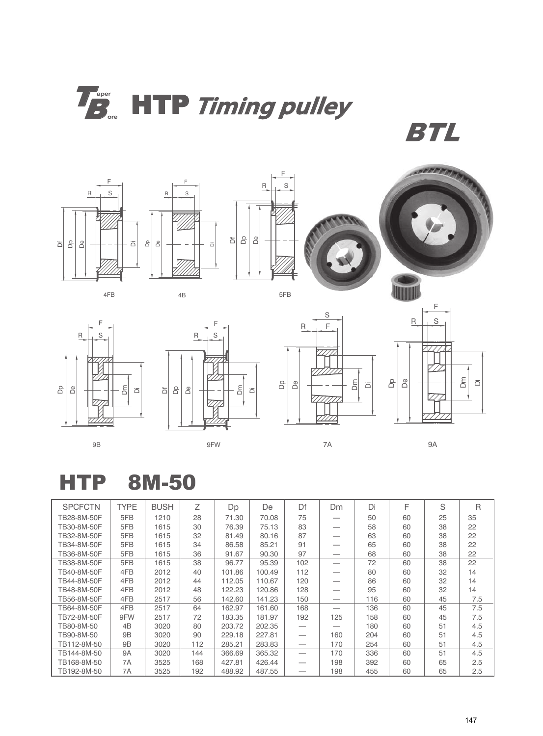









9B

ة الا الا  $\frac{E}{D}$  $\overline{\square}$  $R$ <sub>L</sub>S F

9FW





7A

9A

### HTP 8M-50

| <b>SPCFCTN</b> | <b>TYPE</b> | <b>BUSH</b> | Ζ   | Dp     | De     | Df  | <b>Dm</b> | Di  | F  | S  | R   |
|----------------|-------------|-------------|-----|--------|--------|-----|-----------|-----|----|----|-----|
| TB28-8M-50F    | 5FB         | 1210        | 28  | 71.30  | 70.08  | 75  |           | 50  | 60 | 25 | 35  |
| TB30-8M-50F    | 5FB         | 1615        | 30  | 76.39  | 75.13  | 83  |           | 58  | 60 | 38 | 22  |
| TB32-8M-50F    | 5FB         | 1615        | 32  | 81.49  | 80.16  | 87  |           | 63  | 60 | 38 | 22  |
| TB34-8M-50F    | 5FB         | 1615        | 34  | 86.58  | 85.21  | 91  |           | 65  | 60 | 38 | 22  |
| TB36-8M-50F    | 5FB         | 1615        | 36  | 91.67  | 90.30  | 97  |           | 68  | 60 | 38 | 22  |
| TB38-8M-50F    | 5FB         | 1615        | 38  | 96.77  | 95.39  | 102 |           | 72  | 60 | 38 | 22  |
| TB40-8M-50F    | 4FB         | 2012        | 40  | 101.86 | 100.49 | 112 |           | 80  | 60 | 32 | 14  |
| TB44-8M-50F    | 4FB         | 2012        | 44  | 112.05 | 110.67 | 120 |           | 86  | 60 | 32 | 14  |
| TB48-8M-50F    | 4FB         | 2012        | 48  | 122.23 | 120.86 | 128 |           | 95  | 60 | 32 | 14  |
| TB56-8M-50F    | 4FB         | 2517        | 56  | 142.60 | 141.23 | 150 | _         | 116 | 60 | 45 | 7.5 |
| TB64-8M-50F    | 4FB         | 2517        | 64  | 162.97 | 161.60 | 168 | -         | 136 | 60 | 45 | 7.5 |
| TB72-8M-50F    | 9FW         | 2517        | 72  | 183.35 | 181.97 | 192 | 125       | 158 | 60 | 45 | 7.5 |
| TB80-8M-50     | 4B          | 3020        | 80  | 203.72 | 202.35 |     |           | 180 | 60 | 51 | 4.5 |
| TB90-8M-50     | 9B          | 3020        | 90  | 229.18 | 227.81 | –   | 160       | 204 | 60 | 51 | 4.5 |
| TB112-8M-50    | 9B          | 3020        | 112 | 285.21 | 283,83 |     | 170       | 254 | 60 | 51 | 4.5 |
| TB144-8M-50    | <b>9A</b>   | 3020        | 144 | 366.69 | 365,32 |     | 170       | 336 | 60 | 51 | 4.5 |
| TB168-8M-50    | 7A          | 3525        | 168 | 427.81 | 426.44 |     | 198       | 392 | 60 | 65 | 2.5 |
| TB192-8M-50    | 7A          | 3525        | 192 | 488.92 | 487.55 | –   | 198       | 455 | 60 | 65 | 2.5 |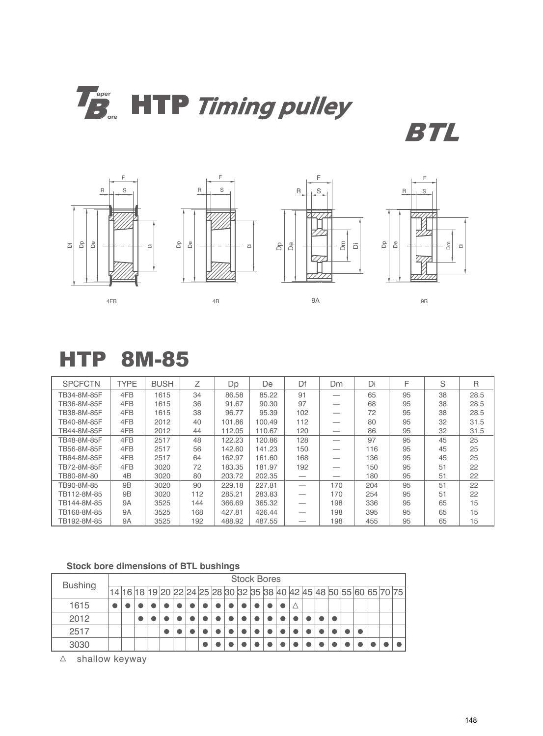





F





4B

9A

9B

### HTP 8M-85

| <b>SPCFCTN</b> | <b>TYPE</b> | <b>BUSH</b> | Ζ   | Dp     | De     | Df  | Dm                       | Di  | F  | S  | R    |
|----------------|-------------|-------------|-----|--------|--------|-----|--------------------------|-----|----|----|------|
| FB34-8M-85F    | 4FB         | 1615        | 34  | 86.58  | 85.22  | 91  |                          | 65  | 95 | 38 | 28.5 |
| TB36-8M-85F    | 4FB         | 1615        | 36  | 91.67  | 90.30  | 97  |                          | 68  | 95 | 38 | 28.5 |
| TB38-8M-85F    | 4FB         | 1615        | 38  | 96.77  | 95.39  | 102 | $\overline{\phantom{a}}$ | 72  | 95 | 38 | 28.5 |
| TB40-8M-85F    | 4FB         | 2012        | 40  | 101.86 | 100.49 | 112 |                          | 80  | 95 | 32 | 31.5 |
| TB44-8M-85F    | 4FB         | 2012        | 44  | 112.05 | 110.67 | 120 | –                        | 86  | 95 | 32 | 31.5 |
| TB48-8M-85F    | 4FB         | 2517        | 48  | 122.23 | 120.86 | 128 | -                        | 97  | 95 | 45 | 25   |
| TB56-8M-85F    | 4FB         | 2517        | 56  | 142.60 | 141.23 | 150 |                          | 116 | 95 | 45 | 25   |
| TB64-8M-85F    | 4FB         | 2517        | 64  | 162.97 | 161.60 | 168 |                          | 136 | 95 | 45 | 25   |
| TB72-8M-85F    | 4FB         | 3020        | 72  | 183.35 | 181.97 | 192 |                          | 150 | 95 | 51 | 22   |
| TB80-8M-80     | 4B          | 3020        | 80  | 203.72 | 202.35 | -   |                          | 180 | 95 | 51 | 22   |
| TB90-8M-85     | 9B          | 3020        | 90  | 229.18 | 227.81 |     | 170                      | 204 | 95 | 51 | 22   |
| TB112-8M-85    | <b>9B</b>   | 3020        | 112 | 285.21 | 283.83 | –   | 170                      | 254 | 95 | 51 | 22   |
| TB144-8M-85    | <b>9A</b>   | 3525        | 144 | 366,69 | 365.32 |     | 198                      | 336 | 95 | 65 | 15   |
| TB168-8M-85    | <b>9A</b>   | 3525        | 168 | 427.81 | 426.44 |     | 198                      | 395 | 95 | 65 | 15   |
| TB192-8M-85    | <b>9A</b>   | 3525        | 192 | 488.92 | 487.55 |     | 198                      | 455 | 95 | 65 | 15   |

#### **Stock bore dimensions of BTL bushings**

| <b>Bushing</b> |  |  |  |                                                                      |  | <b>Stock Bores</b> |  |  |  |  |  |  |
|----------------|--|--|--|----------------------------------------------------------------------|--|--------------------|--|--|--|--|--|--|
|                |  |  |  | 14 16 18 19 20 22 24 25 28 30 32 35 38 40 42 45 48 50 55 60 65 70 75 |  |                    |  |  |  |  |  |  |
| 1615           |  |  |  |                                                                      |  |                    |  |  |  |  |  |  |
| 2012           |  |  |  |                                                                      |  |                    |  |  |  |  |  |  |
| 2517           |  |  |  |                                                                      |  |                    |  |  |  |  |  |  |
| 3030           |  |  |  |                                                                      |  |                    |  |  |  |  |  |  |

 $\triangle$  shallow keyway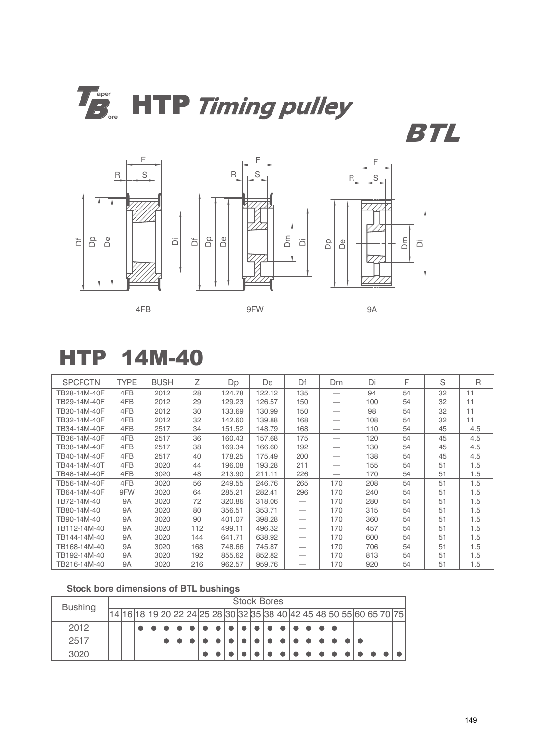

BTL

Dm  $\overline{\square}$ 

9A



4FB

9FW

### HTP 14M-40

| <b>SPCFCTN</b> | <b>TYPE</b> | <b>BUSH</b> | Ζ   | Dp     | De     | Df  | <b>Dm</b> | Di  | F  | S  | $\mathsf{R}$ |
|----------------|-------------|-------------|-----|--------|--------|-----|-----------|-----|----|----|--------------|
| TB28-14M-40F   | 4FB         | 2012        | 28  | 124.78 | 122.12 | 135 |           | 94  | 54 | 32 | 11           |
| TB29-14M-40F   | 4FB         | 2012        | 29  | 129.23 | 126.57 | 150 |           | 100 | 54 | 32 | 11           |
| TB30-14M-40F   | 4FB         | 2012        | 30  | 133.69 | 130.99 | 150 |           | 98  | 54 | 32 | 11           |
| TB32-14M-40F   | 4FB         | 2012        | 32  | 142.60 | 139.88 | 168 |           | 108 | 54 | 32 | 11           |
| TB34-14M-40F   | 4FB         | 2517        | 34  | 151.52 | 148.79 | 168 |           | 110 | 54 | 45 | 4.5          |
| TB36-14M-40F   | 4FB         | 2517        | 36  | 160.43 | 157.68 | 175 |           | 120 | 54 | 45 | 4.5          |
| TB38-14M-40F   | 4FB         | 2517        | 38  | 169.34 | 166.60 | 192 |           | 130 | 54 | 45 | 4.5          |
| TB40-14M-40F   | 4FB         | 2517        | 40  | 178.25 | 175.49 | 200 |           | 138 | 54 | 45 | 4.5          |
| TB44-14M-40T   | 4FB         | 3020        | 44  | 196.08 | 193.28 | 211 |           | 155 | 54 | 51 | 1.5          |
| TB48-14M-40F   | 4FB         | 3020        | 48  | 213,90 | 211.11 | 226 | --        | 170 | 54 | 51 | 1.5          |
| TB56-14M-40F   | 4FB         | 3020        | 56  | 249.55 | 246.76 | 265 | 170       | 208 | 54 | 51 | 1.5          |
| TB64-14M-40F   | 9FW         | 3020        | 64  | 285.21 | 282.41 | 296 | 170       | 240 | 54 | 51 | 1.5          |
| TB72-14M-40    | <b>9A</b>   | 3020        | 72  | 320.86 | 318.06 |     | 170       | 280 | 54 | 51 | 1.5          |
| TB80-14M-40    | <b>9A</b>   | 3020        | 80  | 356.51 | 353.71 |     | 170       | 315 | 54 | 51 | 1.5          |
| TB90-14M-40    | <b>9A</b>   | 3020        | 90  | 401.07 | 398.28 |     | 170       | 360 | 54 | 51 | 1.5          |
| TB112-14M-40   | <b>9A</b>   | 3020        | 112 | 499.11 | 496.32 | --  | 170       | 457 | 54 | 51 | 1.5          |
| TB144-14M-40   | <b>9A</b>   | 3020        | 144 | 641.71 | 638.92 |     | 170       | 600 | 54 | 51 | 1.5          |
| TB168-14M-40   | <b>9A</b>   | 3020        | 168 | 748.66 | 745.87 |     | 170       | 706 | 54 | 51 | 1.5          |
| TB192-14M-40   | <b>9A</b>   | 3020        | 192 | 855.62 | 852.82 |     | 170       | 813 | 54 | 51 | 1.5          |
| TB216-14M-40   | <b>9A</b>   | 3020        | 216 | 962.57 | 959.76 | –   | 170       | 920 | 54 | 51 | 1.5          |

| <b>Bushing</b> |  |  |  |  |  |  | <b>Stock Bores</b> |  |  |  |  |                                                                      |  |
|----------------|--|--|--|--|--|--|--------------------|--|--|--|--|----------------------------------------------------------------------|--|
|                |  |  |  |  |  |  |                    |  |  |  |  | 14 16 18 19 20 22 24 25 28 30 32 35 38 40 42 45 48 50 55 60 65 70 75 |  |
| 2012           |  |  |  |  |  |  |                    |  |  |  |  |                                                                      |  |
| 2517           |  |  |  |  |  |  |                    |  |  |  |  |                                                                      |  |
| 3020           |  |  |  |  |  |  |                    |  |  |  |  |                                                                      |  |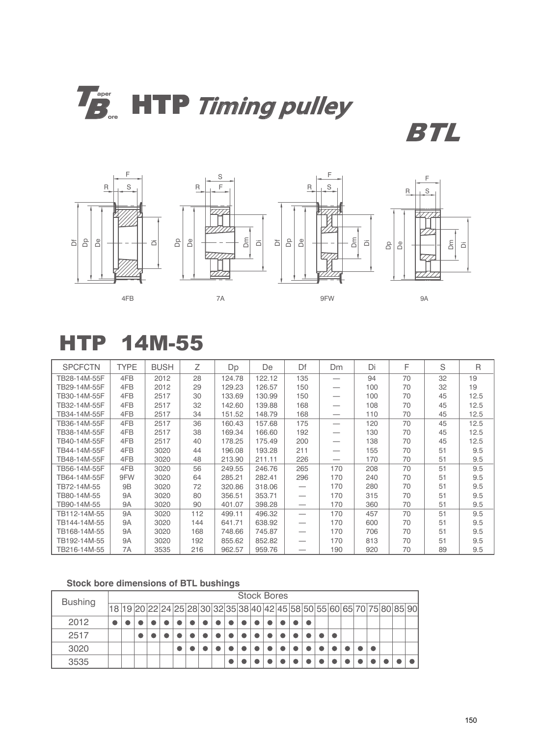

BTL



### HTP 14M-55

| <b>SPCFCTN</b> | <b>TYPE</b> | <b>BUSH</b> | Ζ   | Dp     | De     | Df                       | <b>Dm</b>                | Di  | F  | S  | R    |
|----------------|-------------|-------------|-----|--------|--------|--------------------------|--------------------------|-----|----|----|------|
| TB28-14M-55F   | 4FB         | 2012        | 28  | 124.78 | 122.12 | 135                      |                          | 94  | 70 | 32 | 19   |
| TB29-14M-55F   | 4FB         | 2012        | 29  | 129.23 | 126.57 | 150                      |                          | 100 | 70 | 32 | 19   |
| TB30-14M-55F   | 4FB         | 2517        | 30  | 133.69 | 130.99 | 150                      |                          | 100 | 70 | 45 | 12.5 |
| TB32-14M-55F   | 4FB         | 2517        | 32  | 142.60 | 139.88 | 168                      |                          | 108 | 70 | 45 | 12.5 |
| TB34-14M-55F   | 4FB         | 2517        | 34  | 151.52 | 148.79 | 168                      |                          | 110 | 70 | 45 | 12.5 |
| TB36-14M-55F   | 4FB         | 2517        | 36  | 160.43 | 157.68 | 175                      | _                        | 120 | 70 | 45 | 12.5 |
| TB38-14M-55F   | 4FB         | 2517        | 38  | 169.34 | 166.60 | 192                      |                          | 130 | 70 | 45 | 12.5 |
| TB40-14M-55F   | 4FB         | 2517        | 40  | 178.25 | 175.49 | 200                      |                          | 138 | 70 | 45 | 12.5 |
| TB44-14M-55F   | 4FB         | 3020        | 44  | 196.08 | 193.28 | 211                      |                          | 155 | 70 | 51 | 9.5  |
| TB48-14M-55F   | 4FB         | 3020        | 48  | 213.90 | 211.11 | 226                      | $\overline{\phantom{0}}$ | 170 | 70 | 51 | 9.5  |
| TB56-14M-55F   | 4FB         | 3020        | 56  | 249.55 | 246.76 | 265                      | 170                      | 208 | 70 | 51 | 9.5  |
| TB64-14M-55F   | 9FW         | 3020        | 64  | 285.21 | 282.41 | 296                      | 170                      | 240 | 70 | 51 | 9.5  |
| TB72-14M-55    | 9B          | 3020        | 72  | 320.86 | 318.06 |                          | 170                      | 280 | 70 | 51 | 9.5  |
| TB80-14M-55    | <b>9A</b>   | 3020        | 80  | 356.51 | 353.71 | _                        | 170                      | 315 | 70 | 51 | 9.5  |
| TB90-14M-55    | <b>9A</b>   | 3020        | 90  | 401.07 | 398.28 |                          | 170                      | 360 | 70 | 51 | 9.5  |
| TB112-14M-55   | <b>9A</b>   | 3020        | 112 | 499.11 | 496.32 | $\overline{\phantom{0}}$ | 170                      | 457 | 70 | 51 | 9.5  |
| TB144-14M-55   | <b>9A</b>   | 3020        | 144 | 641.71 | 638.92 |                          | 170                      | 600 | 70 | 51 | 9.5  |
| TB168-14M-55   | <b>9A</b>   | 3020        | 168 | 748.66 | 745.87 |                          | 170                      | 706 | 70 | 51 | 9.5  |
| TB192-14M-55   | <b>9A</b>   | 3020        | 192 | 855.62 | 852.82 | –                        | 170                      | 813 | 70 | 51 | 9.5  |
| TB216-14M-55   | 7A          | 3535        | 216 | 962.57 | 959.76 |                          | 190                      | 920 | 70 | 89 | 9.5  |

| <b>Bushing</b> |  |  |  |  |  | <b>Stock Bores</b> |  |  |  |  |  |                                                                         |
|----------------|--|--|--|--|--|--------------------|--|--|--|--|--|-------------------------------------------------------------------------|
|                |  |  |  |  |  |                    |  |  |  |  |  | 18 19 20 22 24 25 28 30 32 35 38 40 42 45 58 50 55 60 65 70 75 80 85 90 |
| 2012           |  |  |  |  |  |                    |  |  |  |  |  |                                                                         |
| 2517           |  |  |  |  |  |                    |  |  |  |  |  |                                                                         |
| 3020           |  |  |  |  |  |                    |  |  |  |  |  |                                                                         |
| 3535           |  |  |  |  |  |                    |  |  |  |  |  |                                                                         |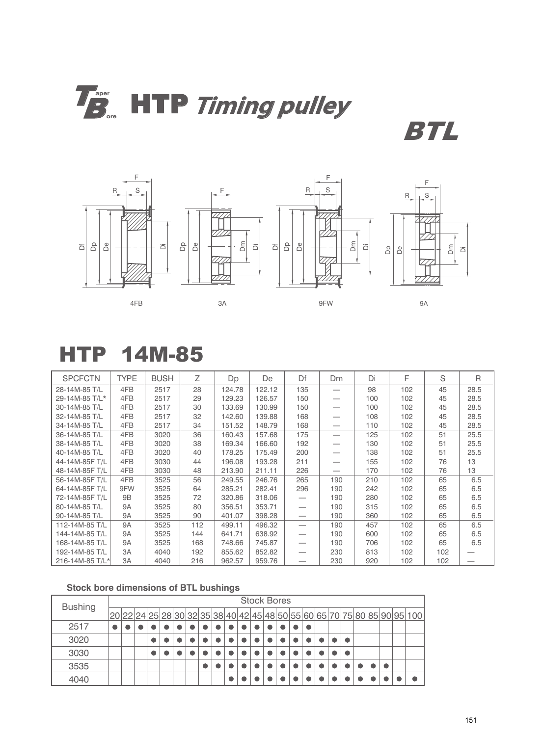



### HTP 14M-85

| <b>SPCFCTN</b>  | <b>TYPE</b> | <b>BUSH</b> | Ζ   | Dp     | De     | Df  | <b>Dm</b> | Di  | F   | S   | $\mathsf{R}$ |
|-----------------|-------------|-------------|-----|--------|--------|-----|-----------|-----|-----|-----|--------------|
| 28-14M-85 T/L   | 4FB         | 2517        | 28  | 124.78 | 122.12 | 135 |           | 98  | 102 | 45  | 28.5         |
| 29-14M-85 T/L*  | 4FB         | 2517        | 29  | 129.23 | 126.57 | 150 |           | 100 | 102 | 45  | 28.5         |
| 30-14M-85 T/L   | 4FB         | 2517        | 30  | 133.69 | 130.99 | 150 |           | 100 | 102 | 45  | 28.5         |
| 32-14M-85 T/L   | 4FB         | 2517        | 32  | 142.60 | 139.88 | 168 |           | 108 | 102 | 45  | 28.5         |
| 34-14M-85 T/L   | 4FB         | 2517        | 34  | 151.52 | 148.79 | 168 |           | 110 | 102 | 45  | 28.5         |
| 36-14M-85 T/L   | 4FB         | 3020        | 36  | 160.43 | 157.68 | 175 |           | 125 | 102 | 51  | 25.5         |
| 38-14M-85 T/L   | 4FB         | 3020        | 38  | 169.34 | 166.60 | 192 |           | 130 | 102 | 51  | 25.5         |
| 40-14M-85 T/L   | 4FB         | 3020        | 40  | 178.25 | 175.49 | 200 |           | 138 | 102 | 51  | 25.5         |
| 44-14M-85F T/L  | 4FB         | 3030        | 44  | 196.08 | 193.28 | 211 |           | 155 | 102 | 76  | 13           |
| 48-14M-85F T/L  | 4FB         | 3030        | 48  | 213.90 | 211.11 | 226 |           | 170 | 102 | 76  | 13           |
| 56-14M-85F T/L  | 4FB         | 3525        | 56  | 249.55 | 246.76 | 265 | 190       | 210 | 102 | 65  | 6.5          |
| 64-14M-85F T/L  | 9FW         | 3525        | 64  | 285.21 | 282.41 | 296 | 190       | 242 | 102 | 65  | 6.5          |
| 72-14M-85F T/L  | 9Β          | 3525        | 72  | 320.86 | 318.06 |     | 190       | 280 | 102 | 65  | 6.5          |
| 80-14M-85 T/L   | <b>9A</b>   | 3525        | 80  | 356.51 | 353.71 |     | 190       | 315 | 102 | 65  | 6.5          |
| 90-14M-85 T/L   | <b>9A</b>   | 3525        | 90  | 401.07 | 398.28 |     | 190       | 360 | 102 | 65  | 6.5          |
| 112-14M-85 T/L  | <b>9A</b>   | 3525        | 112 | 499.11 | 496.32 |     | 190       | 457 | 102 | 65  | 6.5          |
| 144-14M-85 T/L  | <b>9A</b>   | 3525        | 144 | 641.71 | 638.92 |     | 190       | 600 | 102 | 65  | 6.5          |
| 168-14M-85 T/L  | <b>9A</b>   | 3525        | 168 | 748.66 | 745.87 |     | 190       | 706 | 102 | 65  | 6.5          |
| 192-14M-85 T/L  | 3A          | 4040        | 192 | 855.62 | 852.82 |     | 230       | 813 | 102 | 102 |              |
| 216-14M-85 T/L* | 3A          | 4040        | 216 | 962.57 | 959.76 |     | 230       | 920 | 102 | 102 |              |

| <b>Bushing</b> |  |  |  |  |  | <b>Stock Bores</b> |  |  |  |  |  |                                                                          |
|----------------|--|--|--|--|--|--------------------|--|--|--|--|--|--------------------------------------------------------------------------|
|                |  |  |  |  |  |                    |  |  |  |  |  | 20 22 24 25 28 30 32 35 38 40 42 45 48 50 55 60 65 70 75 80 85 90 95 100 |
| 2517           |  |  |  |  |  |                    |  |  |  |  |  |                                                                          |
| 3020           |  |  |  |  |  |                    |  |  |  |  |  |                                                                          |
| 3030           |  |  |  |  |  |                    |  |  |  |  |  |                                                                          |
| 3535           |  |  |  |  |  |                    |  |  |  |  |  |                                                                          |
| 4040           |  |  |  |  |  |                    |  |  |  |  |  |                                                                          |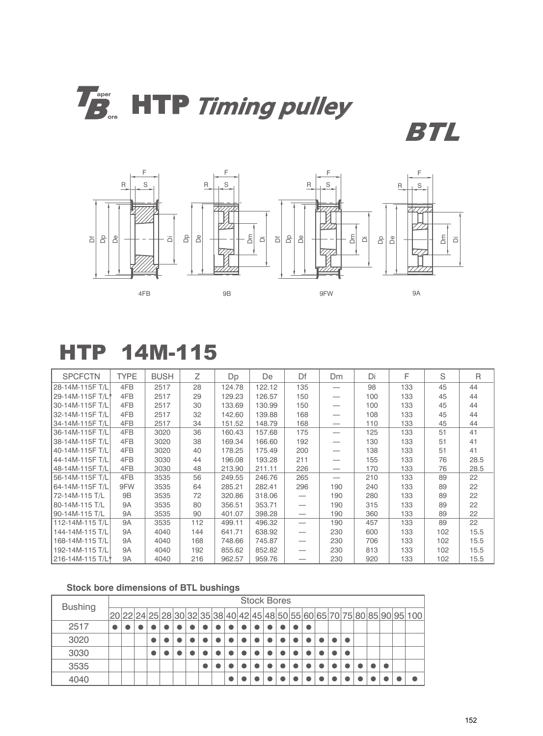



### HTP 14M-115

|                                              | 윱<br>്<br>윱<br>å<br>ă<br>윱<br>å<br>ă<br>Å<br>古<br>古<br>å<br>ö<br>ö<br>ä |             |          |                  |                    |                          |                                                                          |           |            |             |              |  |  |  |
|----------------------------------------------|-------------------------------------------------------------------------|-------------|----------|------------------|--------------------|--------------------------|--------------------------------------------------------------------------|-----------|------------|-------------|--------------|--|--|--|
|                                              | 4FB                                                                     |             |          | 9B               |                    |                          | 9FW                                                                      |           | <b>9A</b>  |             |              |  |  |  |
|                                              |                                                                         |             |          |                  |                    |                          |                                                                          |           |            |             |              |  |  |  |
|                                              |                                                                         |             |          |                  |                    |                          |                                                                          |           |            |             |              |  |  |  |
|                                              |                                                                         |             |          |                  |                    |                          |                                                                          |           |            |             |              |  |  |  |
|                                              |                                                                         |             |          |                  |                    |                          |                                                                          |           |            |             |              |  |  |  |
| HTP 14M-115                                  |                                                                         |             |          |                  |                    |                          |                                                                          |           |            |             |              |  |  |  |
|                                              |                                                                         |             |          |                  |                    |                          |                                                                          |           |            |             |              |  |  |  |
| <b>SPCFCTN</b>                               | <b>TYPE</b>                                                             | <b>BUSH</b> | Ζ        |                  | De                 | Df                       | Dm                                                                       | Di        | F          | $\mathbb S$ | $\mathsf{R}$ |  |  |  |
|                                              |                                                                         | 2517        |          | Dp               |                    |                          |                                                                          |           |            |             |              |  |  |  |
| 28-14M-115F T/L<br> 29-14M-115F T/Lौ         | 4FB<br>4FB                                                              | 2517        | 28<br>29 | 124.78<br>129.23 | 122.12<br>126.57   | 135<br>150               |                                                                          | 98<br>100 | 133<br>133 | 45<br>45    | 44<br>44     |  |  |  |
| 30-14M-115F T/L                              | 4FB                                                                     | 2517        | 30       | 133.69           | 130.99             | 150                      | --                                                                       | 100       | 133        | 45          | 44           |  |  |  |
| 32-14M-115F T/L                              | 4FB                                                                     | 2517        | 32       | 142.60           | 139.88             | 168                      |                                                                          | 108       | 133        | 45          | 44           |  |  |  |
| 34-14M-115F T/L                              | 4FB                                                                     | 2517        | 34       | 151.52           | 148.79             | 168                      | $\qquad \qquad \longleftarrow$                                           | 110       | 133        | 45          | 44           |  |  |  |
| 36-14M-115F T/L                              | 4FB                                                                     | 3020        | 36       | 160.43           | 157.68             | 175                      |                                                                          | 125       | 133        | 51          | 41           |  |  |  |
| 38-14M-115F T/L                              | 4FB                                                                     | 3020        | 38       | 169.34           | 166.60             | 192                      | $\overline{\phantom{0}}$                                                 | 130       | 133        | 51          | 41           |  |  |  |
| 40-14M-115F T/L                              | 4FB                                                                     | 3020        | 40       | 178.25           | 175.49             | 200                      | $\overline{\phantom{0}}$                                                 | 138       | 133        | 51          | 41           |  |  |  |
| 44-14M-115F T/L                              | 4FB                                                                     | 3030        | 44       | 196.08           | 193.28             | 211                      |                                                                          | 155       | 133        | 76          | 28.5         |  |  |  |
| 48-14M-115F T/L                              | 4FB                                                                     | 3030        | 48       | 213.90           | 211.11             | 226                      | $\overline{\phantom{0}}$                                                 | 170       | 133        | 76          | 28.5         |  |  |  |
| 56-14M-115F T/L                              | 4FB                                                                     | 3535        | 56       | 249.55           | 246.76             | 265                      |                                                                          | 210       | 133        | 89          | 22           |  |  |  |
| 64-14M-115F T/L                              | 9FW                                                                     | 3535        | 64       | 285.21           | 282.41             | 296                      | 190                                                                      | 240       | 133        | 89          | 22           |  |  |  |
| 72-14M-115 T/L                               | <b>9B</b>                                                               | 3535        | 72       | 320.86           | 318.06             | $\overline{\phantom{0}}$ | 190                                                                      | 280       | 133        | 89          | 22           |  |  |  |
| 80-14M-115 T/L                               | <b>9A</b>                                                               | 3535        | 80       | 356.51           | 353.71             |                          | 190                                                                      | 315       | 133        | 89          | 22           |  |  |  |
| 90-14M-115 T/L                               | <b>9A</b>                                                               | 3535        | 90       | 401.07           | 398.28             | $\overline{\phantom{0}}$ | 190                                                                      | 360       | 133        | 89          | 22           |  |  |  |
| 112-14M-115 T/L                              | <b>9A</b>                                                               | 3535        | 112      | 499.11           | 496.32             |                          | 190                                                                      | 457       | 133        | 89          | 22           |  |  |  |
| 144-14M-115 T/L                              | <b>9A</b>                                                               | 4040        | 144      | 641.71           | 638.92             | $\overline{\phantom{0}}$ | 230                                                                      | 600       | 133        | 102         | 15.5         |  |  |  |
| 168-14M-115 T/L                              | <b>9A</b>                                                               | 4040        | 168      | 748.66           | 745.87             | $\overline{\phantom{0}}$ | 230                                                                      | 706       | 133        | 102         | 15.5         |  |  |  |
| 192-14M-115 T/L                              | <b>9A</b>                                                               | 4040        | 192      | 855.62           | 852.82             | $\overline{\phantom{0}}$ | 230                                                                      | 813       | 133        | 102         | 15.5         |  |  |  |
| 216-14M-115 T/L                              | <b>9A</b>                                                               | 4040        | 216      | 962.57           | 959.76             | $\overline{\phantom{0}}$ | 230                                                                      | 920       | 133        | 102         | 15.5         |  |  |  |
|                                              |                                                                         |             |          |                  |                    |                          |                                                                          |           |            |             |              |  |  |  |
|                                              |                                                                         |             |          |                  |                    |                          |                                                                          |           |            |             |              |  |  |  |
| <b>Stock bore dimensions of BTL bushings</b> |                                                                         |             |          |                  |                    |                          |                                                                          |           |            |             |              |  |  |  |
|                                              |                                                                         |             |          |                  | <b>Stock Bores</b> |                          |                                                                          |           |            |             |              |  |  |  |
| <b>Bushing</b>                               |                                                                         |             |          |                  |                    |                          | 20 22 24 25 28 30 32 35 38 40 42 45 48 50 55 60 65 70 75 80 85 90 95 100 |           |            |             |              |  |  |  |
|                                              |                                                                         |             |          |                  |                    |                          |                                                                          |           |            |             |              |  |  |  |

| <b>Bushing</b> |  |  |  |  |  | <b>Stock Bores</b> |  |  |  |  |  |                                                                          |
|----------------|--|--|--|--|--|--------------------|--|--|--|--|--|--------------------------------------------------------------------------|
|                |  |  |  |  |  |                    |  |  |  |  |  | 20 22 24 25 28 30 32 35 38 40 42 45 48 50 55 60 65 70 75 80 85 90 95 100 |
| 2517           |  |  |  |  |  |                    |  |  |  |  |  |                                                                          |
| 3020           |  |  |  |  |  |                    |  |  |  |  |  |                                                                          |
| 3030           |  |  |  |  |  |                    |  |  |  |  |  |                                                                          |
| 3535           |  |  |  |  |  |                    |  |  |  |  |  |                                                                          |
| 4040           |  |  |  |  |  |                    |  |  |  |  |  |                                                                          |